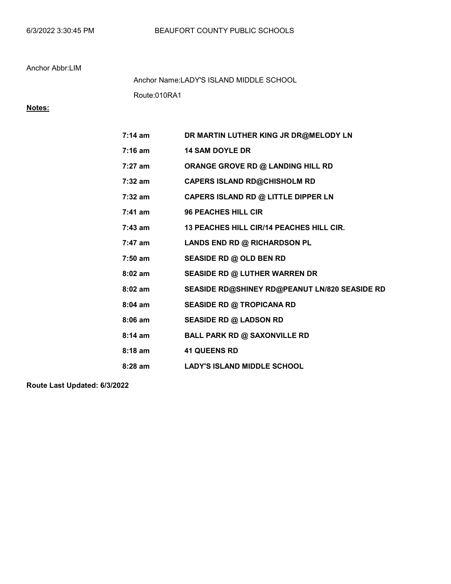Route:010RA1 Anchor Name:LADY'S ISLAND MIDDLE SCHOOL

# Notes:

| $7:14 \text{ am}$ | DR MARTIN LUTHER KING JR DR@MELODY LN           |
|-------------------|-------------------------------------------------|
| 7:16 am           | <b>14 SAM DOYLE DR</b>                          |
| $7:27$ am         | ORANGE GROVE RD @ LANDING HILL RD               |
| $7:32$ am         | <b>CAPERS ISLAND RD@CHISHOLM RD</b>             |
| 7:32 am           | CAPERS ISLAND RD @ LITTLE DIPPER LN             |
| $7:41$ am         | <b>96 PEACHES HILL CIR</b>                      |
| $7:43$ am         | <b>13 PEACHES HILL CIR/14 PEACHES HILL CIR.</b> |
| 7:47 am           | LANDS END RD @ RICHARDSON PL                    |
| $7:50$ am         | SEASIDE RD @ OLD BEN RD                         |
| $8:02$ am         | <b>SEASIDE RD @ LUTHER WARREN DR</b>            |
| $8:02$ am         | SEASIDE RD@SHINEY RD@PEANUT LN/820 SEASIDE RD   |
| $8:04$ am         | <b>SEASIDE RD @ TROPICANA RD</b>                |
| $8:06$ am         | <b>SEASIDE RD @ LADSON RD</b>                   |
| $8:14$ am         | <b>BALL PARK RD @ SAXONVILLE RD</b>             |
| $8:18$ am         | <b>41 QUEENS RD</b>                             |
| $8:28$ am         | <b>LADY'S ISLAND MIDDLE SCHOOL</b>              |
|                   |                                                 |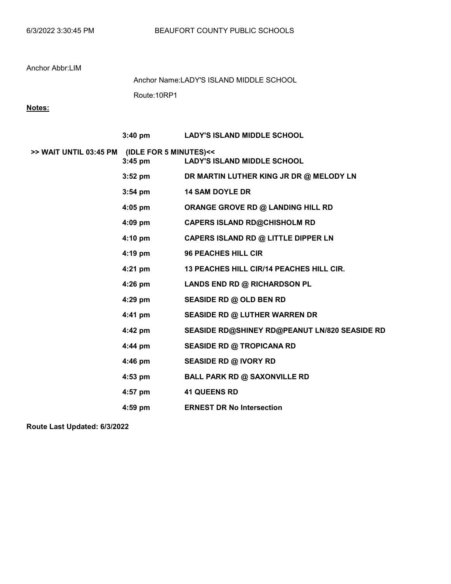Route:10RP1 Anchor Name:LADY'S ISLAND MIDDLE SCHOOL

## Notes:

|                                               | $3:40 \text{ pm}$ | <b>LADY'S ISLAND MIDDLE SCHOOL</b>              |
|-----------------------------------------------|-------------------|-------------------------------------------------|
| >> WAIT UNTIL 03:45 PM (IDLE FOR 5 MINUTES)<< | $3:45$ pm         | <b>LADY'S ISLAND MIDDLE SCHOOL</b>              |
|                                               | $3:52 \text{ pm}$ | DR MARTIN LUTHER KING JR DR @ MELODY LN         |
|                                               | $3:54$ pm         | <b>14 SAM DOYLE DR</b>                          |
|                                               | 4:05 pm           | ORANGE GROVE RD @ LANDING HILL RD               |
|                                               | $4:09$ pm         | <b>CAPERS ISLAND RD@CHISHOLM RD</b>             |
|                                               | $4:10 \text{ pm}$ | CAPERS ISLAND RD @ LITTLE DIPPER LN             |
|                                               | $4:19$ pm         | <b>96 PEACHES HILL CIR</b>                      |
|                                               | 4:21 pm           | <b>13 PEACHES HILL CIR/14 PEACHES HILL CIR.</b> |
|                                               | 4:26 pm           | LANDS END RD @ RICHARDSON PL                    |
|                                               | 4:29 pm           | SEASIDE RD @ OLD BEN RD                         |
|                                               | 4:41 pm           | <b>SEASIDE RD @ LUTHER WARREN DR</b>            |
|                                               | 4:42 pm           | SEASIDE RD@SHINEY RD@PEANUT LN/820 SEASIDE RD   |
|                                               | 4:44 pm           | <b>SEASIDE RD @ TROPICANA RD</b>                |
|                                               | 4:46 pm           | <b>SEASIDE RD @ IVORY RD</b>                    |
|                                               | 4:53 pm           | <b>BALL PARK RD @ SAXONVILLE RD</b>             |
|                                               | $4:57$ pm         | <b>41 QUEENS RD</b>                             |
|                                               | $4:59$ pm         | <b>ERNEST DR No Intersection</b>                |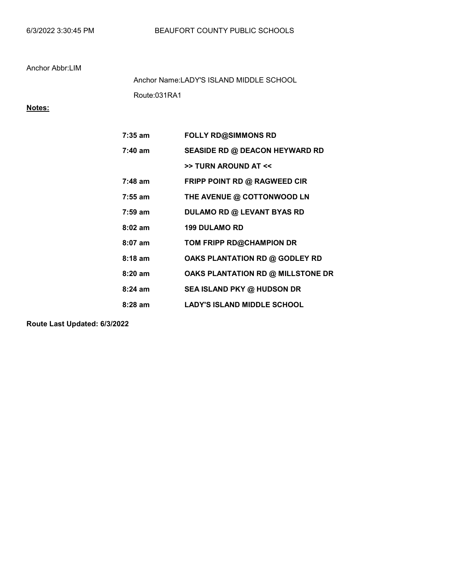Route:031RA1 Anchor Name:LADY'S ISLAND MIDDLE SCHOOL

# Notes:

| 7:35 am           | <b>FOLLY RD@SIMMONS RD</b>            |
|-------------------|---------------------------------------|
| $7:40$ am         | <b>SEASIDE RD @ DEACON HEYWARD RD</b> |
|                   | >> TURN AROUND AT <<                  |
| 7:48 am           | FRIPP POINT RD @ RAGWEED CIR          |
| $7:55 \text{ am}$ | THE AVENUE @ COTTONWOOD LN            |
| 7:59 am           | <b>DULAMO RD @ LEVANT BYAS RD</b>     |
| $8:02$ am         | <b>199 DULAMO RD</b>                  |
| $8:07$ am         | TOM FRIPP RD@CHAMPION DR              |
| $8:18$ am         | OAKS PLANTATION RD @ GODLEY RD        |
| $8:20$ am         | OAKS PLANTATION RD @ MILLSTONE DR     |
| $8:24$ am         | SEA ISLAND PKY @ HUDSON DR            |
| 8:28 am           | <b>LADY'S ISLAND MIDDLE SCHOOL</b>    |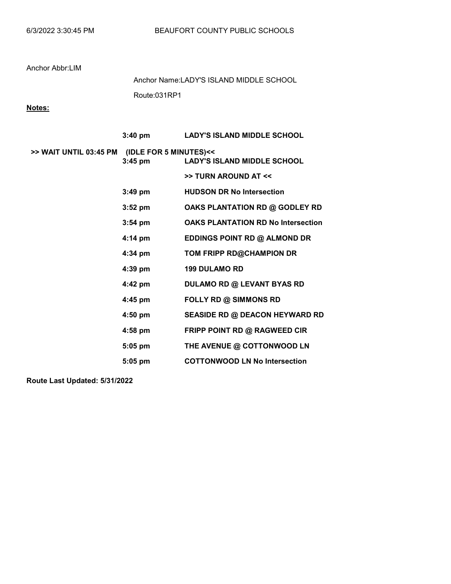Route:031RP1 Anchor Name:LADY'S ISLAND MIDDLE SCHOOL

# Notes:

|                                               | $3:40 \text{ pm}$ | <b>LADY'S ISLAND MIDDLE SCHOOL</b>        |
|-----------------------------------------------|-------------------|-------------------------------------------|
| >> WAIT UNTIL 03:45 PM (IDLE FOR 5 MINUTES)<< | $3:45$ pm         | <b>LADY'S ISLAND MIDDLE SCHOOL</b>        |
|                                               |                   | >> TURN AROUND AT <<                      |
|                                               | $3:49$ pm         | <b>HUDSON DR No Intersection</b>          |
|                                               | $3:52$ pm         | OAKS PLANTATION RD @ GODLEY RD            |
|                                               | $3:54$ pm         | <b>OAKS PLANTATION RD No Intersection</b> |
|                                               | 4:14 pm           | EDDINGS POINT RD @ ALMOND DR              |
|                                               | 4:34 pm           | TOM FRIPP RD@CHAMPION DR                  |
|                                               | $4:39$ pm         | <b>199 DULAMO RD</b>                      |
|                                               | 4:42 pm           | <b>DULAMO RD @ LEVANT BYAS RD</b>         |
|                                               | 4:45 pm           | <b>FOLLY RD @ SIMMONS RD</b>              |
|                                               | 4:50 pm           | <b>SEASIDE RD @ DEACON HEYWARD RD</b>     |
|                                               | 4:58 pm           | FRIPP POINT RD @ RAGWEED CIR              |
|                                               | $5:05$ pm         | THE AVENUE @ COTTONWOOD LN                |
|                                               | $5:05$ pm         | <b>COTTONWOOD LN No Intersection</b>      |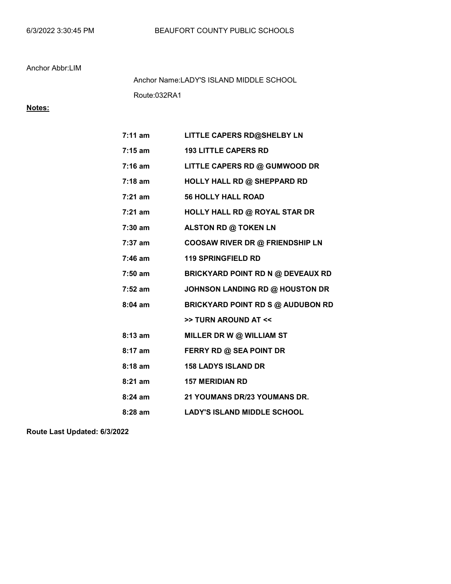Route:032RA1 Anchor Name:LADY'S ISLAND MIDDLE SCHOOL

## Notes:

| $7:11$ am | LITTLE CAPERS RD@SHELBY LN               |
|-----------|------------------------------------------|
| $7:15$ am | <b>193 LITTLE CAPERS RD</b>              |
| $7:16$ am | LITTLE CAPERS RD @ GUMWOOD DR            |
| $7:18$ am | <b>HOLLY HALL RD @ SHEPPARD RD</b>       |
| $7:21$ am | <b>56 HOLLY HALL ROAD</b>                |
| $7:21$ am | HOLLY HALL RD @ ROYAL STAR DR            |
| $7:30$ am | ALSTON RD @ TOKEN LN                     |
| $7:37$ am | COOSAW RIVER DR @ FRIENDSHIP LN          |
| $7:46$ am | <b>119 SPRINGFIELD RD</b>                |
| $7:50$ am | <b>BRICKYARD POINT RD N @ DEVEAUX RD</b> |
| $7:52$ am | <b>JOHNSON LANDING RD @ HOUSTON DR</b>   |
| $8:04$ am | <b>BRICKYARD POINT RD S @ AUDUBON RD</b> |
|           | >> TURN AROUND AT <<                     |
| 8:13 am   | MILLER DR W @ WILLIAM ST                 |
| 8:17 am   | <b>FERRY RD @ SEA POINT DR</b>           |
| $8:18$ am | <b>158 LADYS ISLAND DR</b>               |
| $8:21$ am | <b>157 MERIDIAN RD</b>                   |
| $8:24$ am | 21 YOUMANS DR/23 YOUMANS DR.             |
| $8:28$ am | <b>LADY'S ISLAND MIDDLE SCHOOL</b>       |